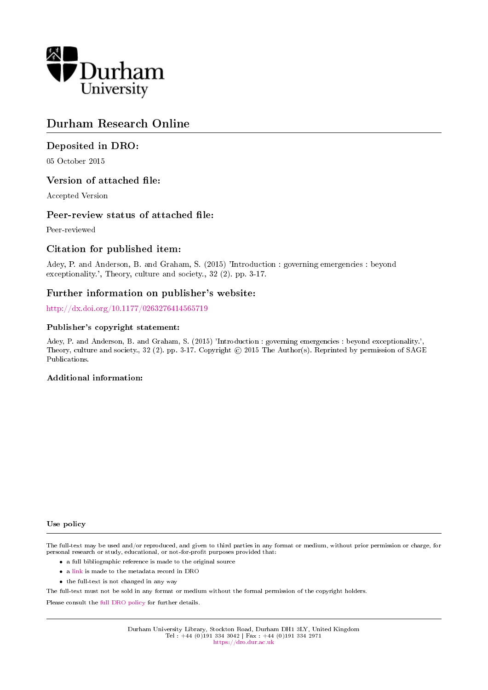

# Durham Research Online

# Deposited in DRO:

05 October 2015

### Version of attached file:

Accepted Version

### Peer-review status of attached file:

Peer-reviewed

### Citation for published item:

Adey, P. and Anderson, B. and Graham, S. (2015) 'Introduction : governing emergencies : beyond exceptionality.', Theory, culture and society., 32 (2). pp. 3-17.

### Further information on publisher's website:

<http://dx.doi.org/10.1177/0263276414565719>

#### Publisher's copyright statement:

Adey, P. and Anderson, B. and Graham, S. (2015) 'Introduction : governing emergencies : beyond exceptionality.', Theory, culture and society., 32 (2). pp. 3-17. Copyright © 2015 The Author(s). Reprinted by permission of SAGE Publications.

#### Additional information:

#### Use policy

The full-text may be used and/or reproduced, and given to third parties in any format or medium, without prior permission or charge, for personal research or study, educational, or not-for-profit purposes provided that:

- a full bibliographic reference is made to the original source
- a [link](http://dro.dur.ac.uk/16488/) is made to the metadata record in DRO
- the full-text is not changed in any way

The full-text must not be sold in any format or medium without the formal permission of the copyright holders.

Please consult the [full DRO policy](https://dro.dur.ac.uk/policies/usepolicy.pdf) for further details.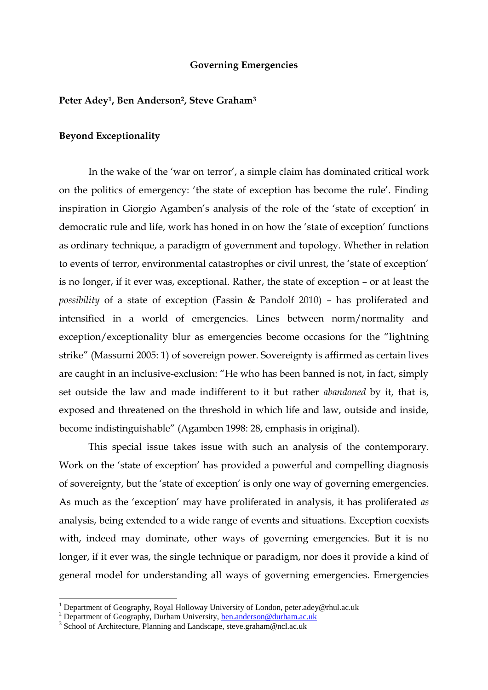### **Governing Emergencies**

#### **Peter Adey1, Ben Anderson2, Steve Graham<sup>3</sup>**

#### **Beyond Exceptionality**

In the wake of the 'war on terror', a simple claim has dominated critical work on the politics of emergency: 'the state of exception has become the rule'. Finding inspiration in Giorgio Agamben's analysis of the role of the 'state of exception' in democratic rule and life, work has honed in on how the 'state of exception' functions as ordinary technique, a paradigm of government and topology. Whether in relation to events of terror, environmental catastrophes or civil unrest, the 'state of exception' is no longer, if it ever was, exceptional. Rather, the state of exception – or at least the *possibility* of a state of exception (Fassin & Pandolf 2010) – has proliferated and intensified in a world of emergencies. Lines between norm/normality and exception/exceptionality blur as emergencies become occasions for the "lightning strike" (Massumi 2005: 1) of sovereign power. Sovereignty is affirmed as certain lives are caught in an inclusive-exclusion: "He who has been banned is not, in fact, simply set outside the law and made indifferent to it but rather *abandoned* by it, that is, exposed and threatened on the threshold in which life and law, outside and inside, become indistinguishable" (Agamben 1998: 28, emphasis in original).

This special issue takes issue with such an analysis of the contemporary. Work on the 'state of exception' has provided a powerful and compelling diagnosis of sovereignty, but the 'state of exception' is only one way of governing emergencies. As much as the 'exception' may have proliferated in analysis, it has proliferated *as* analysis, being extended to a wide range of events and situations. Exception coexists with, indeed may dominate, other ways of governing emergencies. But it is no longer, if it ever was, the single technique or paradigm, nor does it provide a kind of general model for understanding all ways of governing emergencies. Emergencies

1

<sup>1</sup> Department of Geography, Royal Holloway University of London, peter.adey@rhul.ac.uk

<sup>&</sup>lt;sup>2</sup> Department of Geography, Durham University, **ben.anderson@durham.ac.uk** 

<sup>&</sup>lt;sup>3</sup> School of Architecture, Planning and Landscape, steve.graham@ncl.ac.uk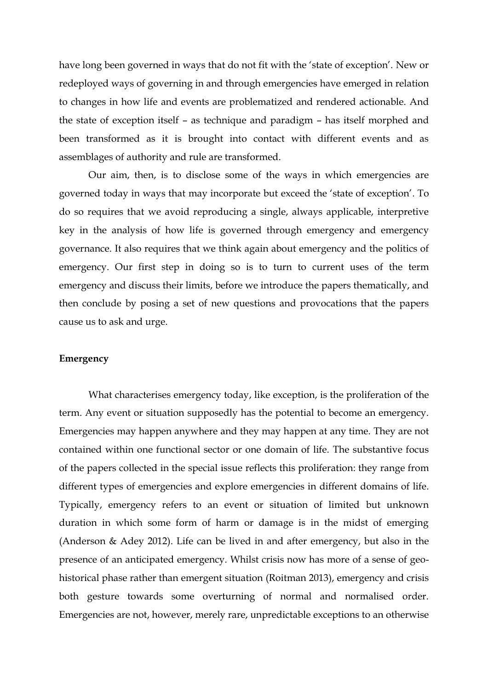have long been governed in ways that do not fit with the 'state of exception'. New or redeployed ways of governing in and through emergencies have emerged in relation to changes in how life and events are problematized and rendered actionable. And the state of exception itself – as technique and paradigm – has itself morphed and been transformed as it is brought into contact with different events and as assemblages of authority and rule are transformed.

Our aim, then, is to disclose some of the ways in which emergencies are governed today in ways that may incorporate but exceed the 'state of exception'. To do so requires that we avoid reproducing a single, always applicable, interpretive key in the analysis of how life is governed through emergency and emergency governance. It also requires that we think again about emergency and the politics of emergency. Our first step in doing so is to turn to current uses of the term emergency and discuss their limits, before we introduce the papers thematically, and then conclude by posing a set of new questions and provocations that the papers cause us to ask and urge.

### **Emergency**

What characterises emergency today, like exception, is the proliferation of the term. Any event or situation supposedly has the potential to become an emergency. Emergencies may happen anywhere and they may happen at any time. They are not contained within one functional sector or one domain of life. The substantive focus of the papers collected in the special issue reflects this proliferation: they range from different types of emergencies and explore emergencies in different domains of life. Typically, emergency refers to an event or situation of limited but unknown duration in which some form of harm or damage is in the midst of emerging (Anderson & Adey 2012). Life can be lived in and after emergency, but also in the presence of an anticipated emergency. Whilst crisis now has more of a sense of geohistorical phase rather than emergent situation (Roitman 2013), emergency and crisis both gesture towards some overturning of normal and normalised order. Emergencies are not, however, merely rare, unpredictable exceptions to an otherwise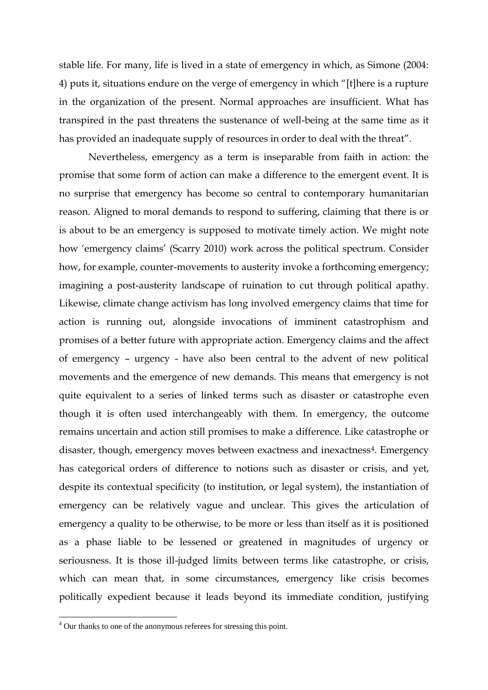stable life. For many, life is lived in a state of emergency in which, as Simone (2004: 4) puts it, situations endure on the verge of emergency in which "[t]here is a rupture in the organization of the present. Normal approaches are insufficient. What has transpired in the past threatens the sustenance of well-being at the same time as it has provided an inadequate supply of resources in order to deal with the threat".

Nevertheless, emergency as a term is inseparable from faith in action: the promise that some form of action can make a difference to the emergent event. It is no surprise that emergency has become so central to contemporary humanitarian reason. Aligned to moral demands to respond to suffering, claiming that there is or is about to be an emergency is supposed to motivate timely action. We might note how 'emergency claims' (Scarry 2010) work across the political spectrum. Consider how, for example, counter-movements to austerity invoke a forthcoming emergency; imagining a post-austerity landscape of ruination to cut through political apathy. Likewise, climate change activism has long involved emergency claims that time for action is running out, alongside invocations of imminent catastrophism and promises of a better future with appropriate action. Emergency claims and the affect of emergency – urgency - have also been central to the advent of new political movements and the emergence of new demands. This means that emergency is not quite equivalent to a series of linked terms such as disaster or catastrophe even though it is often used interchangeably with them. In emergency, the outcome remains uncertain and action still promises to make a difference. Like catastrophe or disaster, though, emergency moves between exactness and inexactness<sup>4</sup>. Emergency has categorical orders of difference to notions such as disaster or crisis, and yet, despite its contextual specificity (to institution, or legal system), the instantiation of emergency can be relatively vague and unclear. This gives the articulation of emergency a quality to be otherwise, to be more or less than itself as it is positioned as a phase liable to be lessened or greatened in magnitudes of urgency or seriousness. It is those ill-judged limits between terms like catastrophe, or crisis, which can mean that, in some circumstances, emergency like crisis becomes politically expedient because it leads beyond its immediate condition, justifying

**.** 

<sup>&</sup>lt;sup>4</sup> Our thanks to one of the anonymous referees for stressing this point.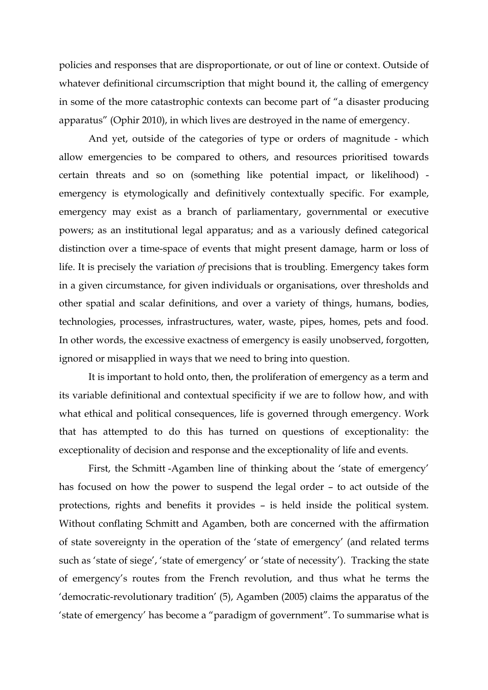policies and responses that are disproportionate, or out of line or context. Outside of whatever definitional circumscription that might bound it, the calling of emergency in some of the more catastrophic contexts can become part of "a disaster producing apparatus" (Ophir 2010), in which lives are destroyed in the name of emergency.

And yet, outside of the categories of type or orders of magnitude - which allow emergencies to be compared to others, and resources prioritised towards certain threats and so on (something like potential impact, or likelihood) emergency is etymologically and definitively contextually specific. For example, emergency may exist as a branch of parliamentary, governmental or executive powers; as an institutional legal apparatus; and as a variously defined categorical distinction over a time-space of events that might present damage, harm or loss of life. It is precisely the variation *of* precisions that is troubling. Emergency takes form in a given circumstance, for given individuals or organisations, over thresholds and other spatial and scalar definitions, and over a variety of things, humans, bodies, technologies, processes, infrastructures, water, waste, pipes, homes, pets and food. In other words, the excessive exactness of emergency is easily unobserved, forgotten, ignored or misapplied in ways that we need to bring into question.

It is important to hold onto, then, the proliferation of emergency as a term and its variable definitional and contextual specificity if we are to follow how, and with what ethical and political consequences, life is governed through emergency. Work that has attempted to do this has turned on questions of exceptionality: the exceptionality of decision and response and the exceptionality of life and events.

First, the Schmitt -Agamben line of thinking about the 'state of emergency' has focused on how the power to suspend the legal order – to act outside of the protections, rights and benefits it provides – is held inside the political system. Without conflating Schmitt and Agamben, both are concerned with the affirmation of state sovereignty in the operation of the 'state of emergency' (and related terms such as 'state of siege', 'state of emergency' or 'state of necessity'). Tracking the state of emergency's routes from the French revolution, and thus what he terms the 'democratic-revolutionary tradition' (5), Agamben (2005) claims the apparatus of the 'state of emergency' has become a "paradigm of government". To summarise what is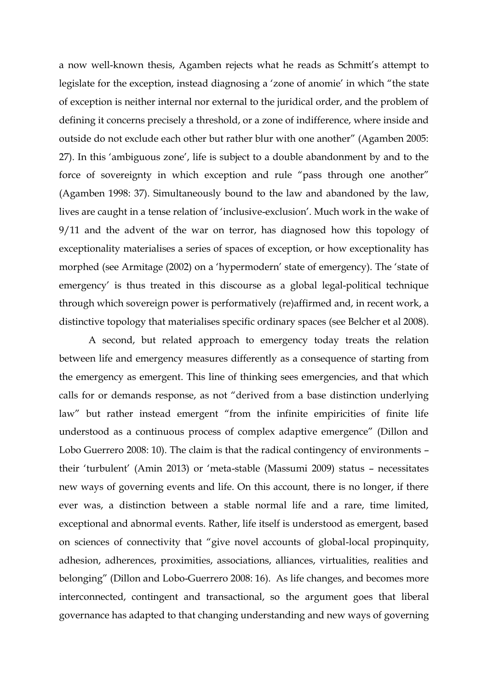a now well-known thesis, Agamben rejects what he reads as Schmitt's attempt to legislate for the exception, instead diagnosing a 'zone of anomie' in which "the state of exception is neither internal nor external to the juridical order, and the problem of defining it concerns precisely a threshold, or a zone of indifference, where inside and outside do not exclude each other but rather blur with one another" (Agamben 2005: 27). In this 'ambiguous zone', life is subject to a double abandonment by and to the force of sovereignty in which exception and rule "pass through one another" (Agamben 1998: 37). Simultaneously bound to the law and abandoned by the law, lives are caught in a tense relation of 'inclusive-exclusion'. Much work in the wake of 9/11 and the advent of the war on terror, has diagnosed how this topology of exceptionality materialises a series of spaces of exception, or how exceptionality has morphed (see Armitage (2002) on a 'hypermodern' state of emergency). The 'state of emergency' is thus treated in this discourse as a global legal-political technique through which sovereign power is performatively (re)affirmed and, in recent work, a distinctive topology that materialises specific ordinary spaces (see Belcher et al 2008).

A second, but related approach to emergency today treats the relation between life and emergency measures differently as a consequence of starting from the emergency as emergent. This line of thinking sees emergencies, and that which calls for or demands response, as not "derived from a base distinction underlying law" but rather instead emergent "from the infinite empiricities of finite life understood as a continuous process of complex adaptive emergence" (Dillon and Lobo Guerrero 2008: 10). The claim is that the radical contingency of environments – their 'turbulent' (Amin 2013) or 'meta-stable (Massumi 2009) status – necessitates new ways of governing events and life. On this account, there is no longer, if there ever was, a distinction between a stable normal life and a rare, time limited, exceptional and abnormal events. Rather, life itself is understood as emergent, based on sciences of connectivity that "give novel accounts of global-local propinquity, adhesion, adherences, proximities, associations, alliances, virtualities, realities and belonging" (Dillon and Lobo-Guerrero 2008: 16). As life changes, and becomes more interconnected, contingent and transactional, so the argument goes that liberal governance has adapted to that changing understanding and new ways of governing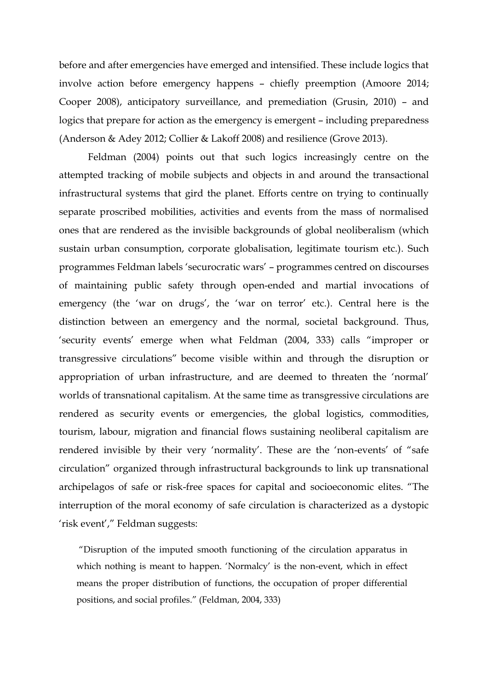before and after emergencies have emerged and intensified. These include logics that involve action before emergency happens – chiefly preemption (Amoore 2014; Cooper 2008), anticipatory surveillance, and premediation (Grusin, 2010) – and logics that prepare for action as the emergency is emergent – including preparedness (Anderson & Adey 2012; Collier & Lakoff 2008) and resilience (Grove 2013).

Feldman (2004) points out that such logics increasingly centre on the attempted tracking of mobile subjects and objects in and around the transactional infrastructural systems that gird the planet. Efforts centre on trying to continually separate proscribed mobilities, activities and events from the mass of normalised ones that are rendered as the invisible backgrounds of global neoliberalism (which sustain urban consumption, corporate globalisation, legitimate tourism etc.). Such programmes Feldman labels 'securocratic wars' – programmes centred on discourses of maintaining public safety through open-ended and martial invocations of emergency (the 'war on drugs', the 'war on terror' etc.). Central here is the distinction between an emergency and the normal, societal background. Thus, 'security events' emerge when what Feldman (2004, 333) calls "improper or transgressive circulations" become visible within and through the disruption or appropriation of urban infrastructure, and are deemed to threaten the 'normal' worlds of transnational capitalism. At the same time as transgressive circulations are rendered as security events or emergencies, the global logistics, commodities, tourism, labour, migration and financial flows sustaining neoliberal capitalism are rendered invisible by their very 'normality'. These are the 'non-events' of "safe circulation" organized through infrastructural backgrounds to link up transnational archipelagos of safe or risk-free spaces for capital and socioeconomic elites. "The interruption of the moral economy of safe circulation is characterized as a dystopic 'risk event'," Feldman suggests:

"Disruption of the imputed smooth functioning of the circulation apparatus in which nothing is meant to happen. 'Normalcy' is the non-event, which in effect means the proper distribution of functions, the occupation of proper differential positions, and social profiles." (Feldman, 2004, 333)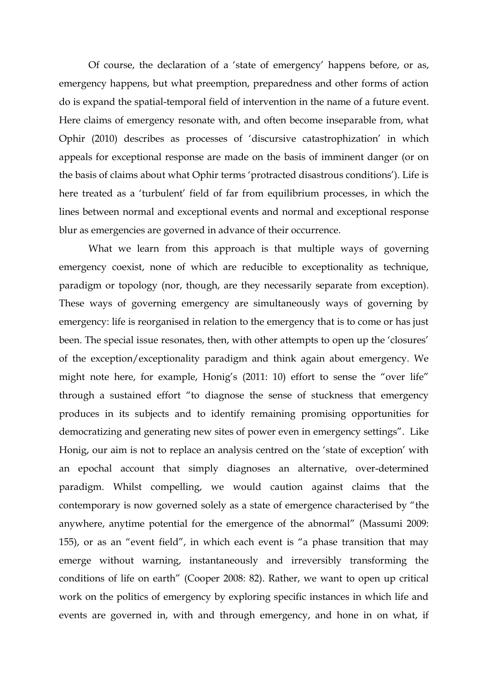Of course, the declaration of a 'state of emergency' happens before, or as, emergency happens, but what preemption, preparedness and other forms of action do is expand the spatial-temporal field of intervention in the name of a future event. Here claims of emergency resonate with, and often become inseparable from, what Ophir (2010) describes as processes of 'discursive catastrophization' in which appeals for exceptional response are made on the basis of imminent danger (or on the basis of claims about what Ophir terms 'protracted disastrous conditions'). Life is here treated as a 'turbulent' field of far from equilibrium processes, in which the lines between normal and exceptional events and normal and exceptional response blur as emergencies are governed in advance of their occurrence.

What we learn from this approach is that multiple ways of governing emergency coexist, none of which are reducible to exceptionality as technique, paradigm or topology (nor, though, are they necessarily separate from exception). These ways of governing emergency are simultaneously ways of governing by emergency: life is reorganised in relation to the emergency that is to come or has just been. The special issue resonates, then, with other attempts to open up the 'closures' of the exception/exceptionality paradigm and think again about emergency. We might note here, for example, Honig's (2011: 10) effort to sense the "over life" through a sustained effort "to diagnose the sense of stuckness that emergency produces in its subjects and to identify remaining promising opportunities for democratizing and generating new sites of power even in emergency settings". Like Honig, our aim is not to replace an analysis centred on the 'state of exception' with an epochal account that simply diagnoses an alternative, over-determined paradigm. Whilst compelling, we would caution against claims that the contemporary is now governed solely as a state of emergence characterised by "the anywhere, anytime potential for the emergence of the abnormal" (Massumi 2009: 155), or as an "event field", in which each event is "a phase transition that may emerge without warning, instantaneously and irreversibly transforming the conditions of life on earth" (Cooper 2008: 82). Rather, we want to open up critical work on the politics of emergency by exploring specific instances in which life and events are governed in, with and through emergency, and hone in on what, if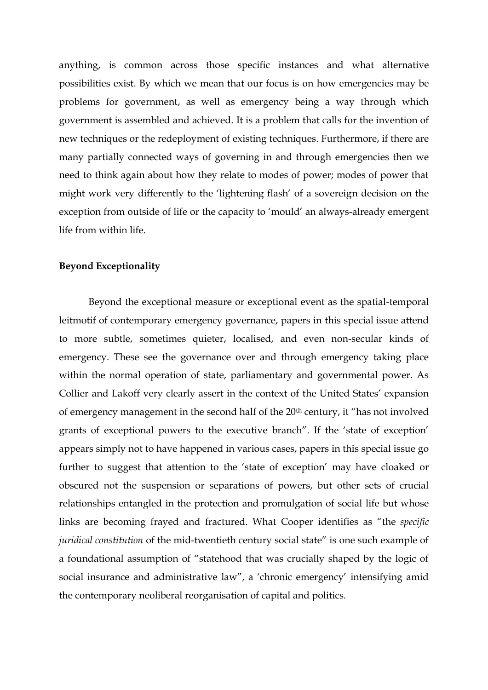anything, is common across those specific instances and what alternative possibilities exist. By which we mean that our focus is on how emergencies may be problems for government, as well as emergency being a way through which government is assembled and achieved. It is a problem that calls for the invention of new techniques or the redeployment of existing techniques. Furthermore, if there are many partially connected ways of governing in and through emergencies then we need to think again about how they relate to modes of power; modes of power that might work very differently to the 'lightening flash' of a sovereign decision on the exception from outside of life or the capacity to 'mould' an always-already emergent life from within life.

# **Beyond Exceptionality**

Beyond the exceptional measure or exceptional event as the spatial-temporal leitmotif of contemporary emergency governance, papers in this special issue attend to more subtle, sometimes quieter, localised, and even non-secular kinds of emergency. These see the governance over and through emergency taking place within the normal operation of state, parliamentary and governmental power. As Collier and Lakoff very clearly assert in the context of the United States' expansion of emergency management in the second half of the 20th century, it "has not involved grants of exceptional powers to the executive branch". If the 'state of exception' appears simply not to have happened in various cases, papers in this special issue go further to suggest that attention to the 'state of exception' may have cloaked or obscured not the suspension or separations of powers, but other sets of crucial relationships entangled in the protection and promulgation of social life but whose links are becoming frayed and fractured. What Cooper identifies as "the *specific juridical constitution* of the mid-twentieth century social state" is one such example of a foundational assumption of "statehood that was crucially shaped by the logic of social insurance and administrative law", a 'chronic emergency' intensifying amid the contemporary neoliberal reorganisation of capital and politics.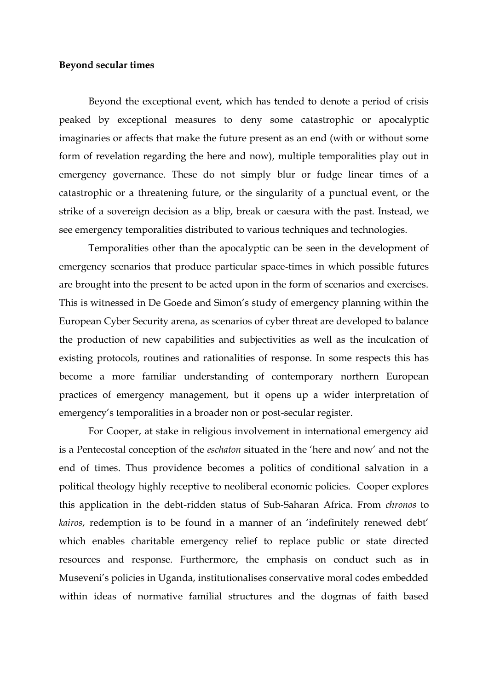### **Beyond secular times**

Beyond the exceptional event, which has tended to denote a period of crisis peaked by exceptional measures to deny some catastrophic or apocalyptic imaginaries or affects that make the future present as an end (with or without some form of revelation regarding the here and now), multiple temporalities play out in emergency governance. These do not simply blur or fudge linear times of a catastrophic or a threatening future, or the singularity of a punctual event, or the strike of a sovereign decision as a blip, break or caesura with the past. Instead, we see emergency temporalities distributed to various techniques and technologies.

Temporalities other than the apocalyptic can be seen in the development of emergency scenarios that produce particular space-times in which possible futures are brought into the present to be acted upon in the form of scenarios and exercises. This is witnessed in De Goede and Simon's study of emergency planning within the European Cyber Security arena, as scenarios of cyber threat are developed to balance the production of new capabilities and subjectivities as well as the inculcation of existing protocols, routines and rationalities of response. In some respects this has become a more familiar understanding of contemporary northern European practices of emergency management, but it opens up a wider interpretation of emergency's temporalities in a broader non or post-secular register.

For Cooper, at stake in religious involvement in international emergency aid is a Pentecostal conception of the *eschaton* situated in the 'here and now' and not the end of times. Thus providence becomes a politics of conditional salvation in a political theology highly receptive to neoliberal economic policies. Cooper explores this application in the debt-ridden status of Sub-Saharan Africa. From *chronos* to *kairos*, redemption is to be found in a manner of an 'indefinitely renewed debt' which enables charitable emergency relief to replace public or state directed resources and response. Furthermore, the emphasis on conduct such as in Museveni's policies in Uganda, institutionalises conservative moral codes embedded within ideas of normative familial structures and the dogmas of faith based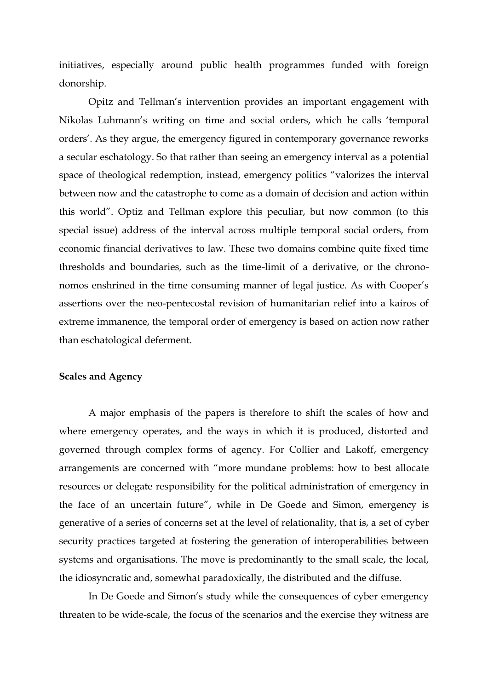initiatives, especially around public health programmes funded with foreign donorship.

Opitz and Tellman's intervention provides an important engagement with Nikolas Luhmann's writing on time and social orders, which he calls 'temporal orders'. As they argue, the emergency figured in contemporary governance reworks a secular eschatology. So that rather than seeing an emergency interval as a potential space of theological redemption, instead, emergency politics "valorizes the interval between now and the catastrophe to come as a domain of decision and action within this world". Optiz and Tellman explore this peculiar, but now common (to this special issue) address of the interval across multiple temporal social orders, from economic financial derivatives to law. These two domains combine quite fixed time thresholds and boundaries, such as the time-limit of a derivative, or the chrononomos enshrined in the time consuming manner of legal justice. As with Cooper's assertions over the neo-pentecostal revision of humanitarian relief into a kairos of extreme immanence, the temporal order of emergency is based on action now rather than eschatological deferment.

### **Scales and Agency**

A major emphasis of the papers is therefore to shift the scales of how and where emergency operates, and the ways in which it is produced, distorted and governed through complex forms of agency. For Collier and Lakoff, emergency arrangements are concerned with "more mundane problems: how to best allocate resources or delegate responsibility for the political administration of emergency in the face of an uncertain future", while in De Goede and Simon, emergency is generative of a series of concerns set at the level of relationality, that is, a set of cyber security practices targeted at fostering the generation of interoperabilities between systems and organisations. The move is predominantly to the small scale, the local, the idiosyncratic and, somewhat paradoxically, the distributed and the diffuse.

In De Goede and Simon's study while the consequences of cyber emergency threaten to be wide-scale, the focus of the scenarios and the exercise they witness are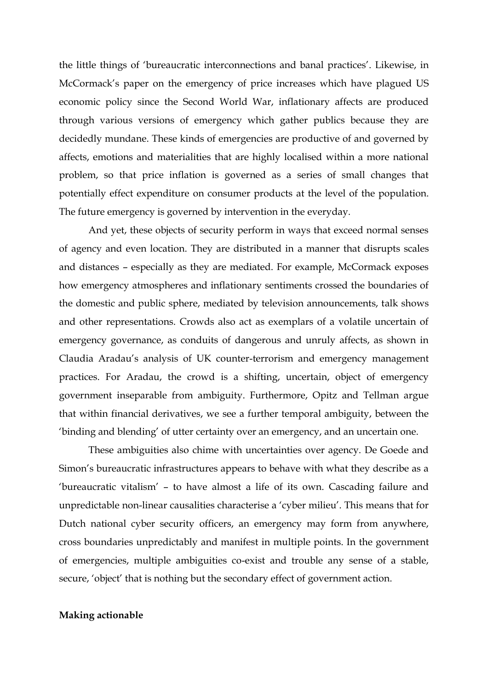the little things of 'bureaucratic interconnections and banal practices'. Likewise, in McCormack's paper on the emergency of price increases which have plagued US economic policy since the Second World War, inflationary affects are produced through various versions of emergency which gather publics because they are decidedly mundane. These kinds of emergencies are productive of and governed by affects, emotions and materialities that are highly localised within a more national problem, so that price inflation is governed as a series of small changes that potentially effect expenditure on consumer products at the level of the population. The future emergency is governed by intervention in the everyday.

And yet, these objects of security perform in ways that exceed normal senses of agency and even location. They are distributed in a manner that disrupts scales and distances – especially as they are mediated. For example, McCormack exposes how emergency atmospheres and inflationary sentiments crossed the boundaries of the domestic and public sphere, mediated by television announcements, talk shows and other representations. Crowds also act as exemplars of a volatile uncertain of emergency governance, as conduits of dangerous and unruly affects, as shown in Claudia Aradau's analysis of UK counter-terrorism and emergency management practices. For Aradau, the crowd is a shifting, uncertain, object of emergency government inseparable from ambiguity. Furthermore, Opitz and Tellman argue that within financial derivatives, we see a further temporal ambiguity, between the 'binding and blending' of utter certainty over an emergency, and an uncertain one.

These ambiguities also chime with uncertainties over agency. De Goede and Simon's bureaucratic infrastructures appears to behave with what they describe as a 'bureaucratic vitalism' – to have almost a life of its own. Cascading failure and unpredictable non-linear causalities characterise a 'cyber milieu'. This means that for Dutch national cyber security officers, an emergency may form from anywhere, cross boundaries unpredictably and manifest in multiple points. In the government of emergencies, multiple ambiguities co-exist and trouble any sense of a stable, secure, 'object' that is nothing but the secondary effect of government action.

## **Making actionable**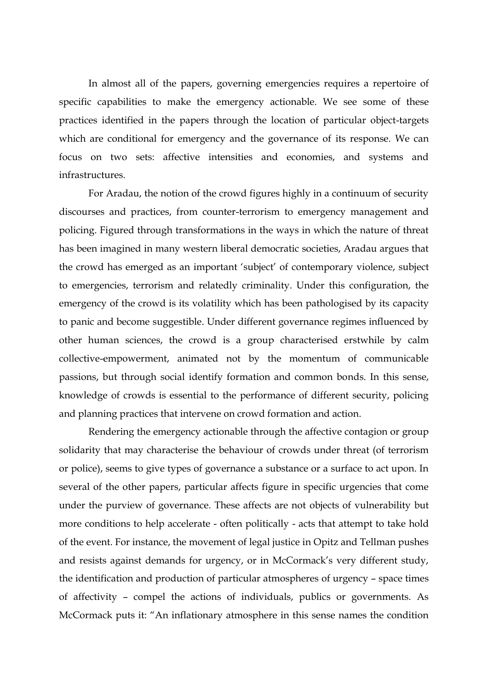In almost all of the papers, governing emergencies requires a repertoire of specific capabilities to make the emergency actionable. We see some of these practices identified in the papers through the location of particular object-targets which are conditional for emergency and the governance of its response. We can focus on two sets: affective intensities and economies, and systems and infrastructures.

For Aradau, the notion of the crowd figures highly in a continuum of security discourses and practices, from counter-terrorism to emergency management and policing. Figured through transformations in the ways in which the nature of threat has been imagined in many western liberal democratic societies, Aradau argues that the crowd has emerged as an important 'subject' of contemporary violence, subject to emergencies, terrorism and relatedly criminality. Under this configuration, the emergency of the crowd is its volatility which has been pathologised by its capacity to panic and become suggestible. Under different governance regimes influenced by other human sciences, the crowd is a group characterised erstwhile by calm collective-empowerment, animated not by the momentum of communicable passions, but through social identify formation and common bonds. In this sense, knowledge of crowds is essential to the performance of different security, policing and planning practices that intervene on crowd formation and action.

Rendering the emergency actionable through the affective contagion or group solidarity that may characterise the behaviour of crowds under threat (of terrorism or police), seems to give types of governance a substance or a surface to act upon. In several of the other papers, particular affects figure in specific urgencies that come under the purview of governance. These affects are not objects of vulnerability but more conditions to help accelerate - often politically - acts that attempt to take hold of the event. For instance, the movement of legal justice in Opitz and Tellman pushes and resists against demands for urgency, or in McCormack's very different study, the identification and production of particular atmospheres of urgency – space times of affectivity – compel the actions of individuals, publics or governments. As McCormack puts it: "An inflationary atmosphere in this sense names the condition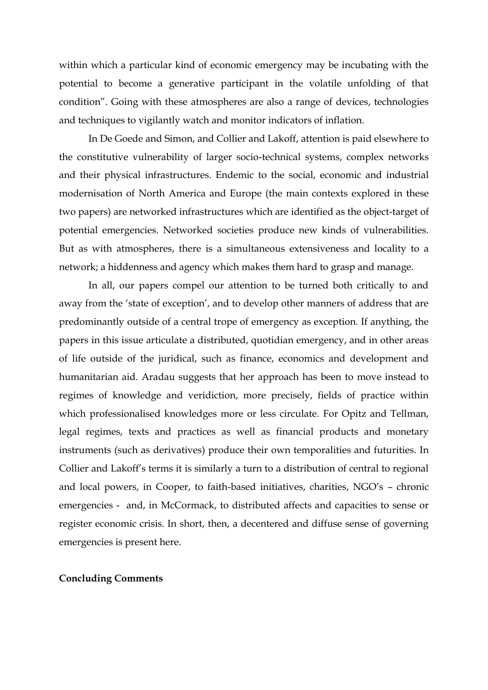within which a particular kind of economic emergency may be incubating with the potential to become a generative participant in the volatile unfolding of that condition". Going with these atmospheres are also a range of devices, technologies and techniques to vigilantly watch and monitor indicators of inflation.

In De Goede and Simon, and Collier and Lakoff, attention is paid elsewhere to the constitutive vulnerability of larger socio-technical systems, complex networks and their physical infrastructures. Endemic to the social, economic and industrial modernisation of North America and Europe (the main contexts explored in these two papers) are networked infrastructures which are identified as the object-target of potential emergencies. Networked societies produce new kinds of vulnerabilities. But as with atmospheres, there is a simultaneous extensiveness and locality to a network; a hiddenness and agency which makes them hard to grasp and manage.

In all, our papers compel our attention to be turned both critically to and away from the 'state of exception', and to develop other manners of address that are predominantly outside of a central trope of emergency as exception. If anything, the papers in this issue articulate a distributed, quotidian emergency, and in other areas of life outside of the juridical, such as finance, economics and development and humanitarian aid. Aradau suggests that her approach has been to move instead to regimes of knowledge and veridiction, more precisely, fields of practice within which professionalised knowledges more or less circulate. For Opitz and Tellman, legal regimes, texts and practices as well as financial products and monetary instruments (such as derivatives) produce their own temporalities and futurities. In Collier and Lakoff's terms it is similarly a turn to a distribution of central to regional and local powers, in Cooper, to faith-based initiatives, charities, NGO's – chronic emergencies - and, in McCormack, to distributed affects and capacities to sense or register economic crisis. In short, then, a decentered and diffuse sense of governing emergencies is present here.

### **Concluding Comments**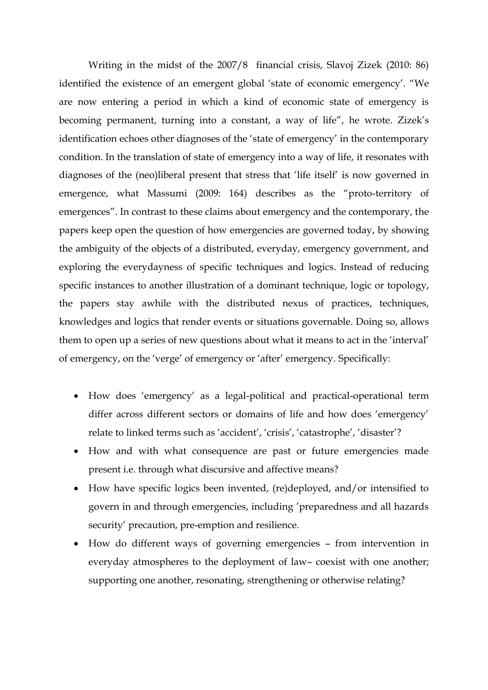Writing in the midst of the 2007/8 financial crisis, Slavoj Zizek (2010: 86) identified the existence of an emergent global 'state of economic emergency'. "We are now entering a period in which a kind of economic state of emergency is becoming permanent, turning into a constant, a way of life", he wrote. Zizek's identification echoes other diagnoses of the 'state of emergency' in the contemporary condition. In the translation of state of emergency into a way of life, it resonates with diagnoses of the (neo)liberal present that stress that 'life itself' is now governed in emergence, what Massumi (2009: 164) describes as the "proto-territory of emergences". In contrast to these claims about emergency and the contemporary, the papers keep open the question of how emergencies are governed today, by showing the ambiguity of the objects of a distributed, everyday, emergency government, and exploring the everydayness of specific techniques and logics. Instead of reducing specific instances to another illustration of a dominant technique, logic or topology, the papers stay awhile with the distributed nexus of practices, techniques, knowledges and logics that render events or situations governable. Doing so, allows them to open up a series of new questions about what it means to act in the 'interval' of emergency, on the 'verge' of emergency or 'after' emergency. Specifically:

- How does 'emergency' as a legal-political and practical-operational term differ across different sectors or domains of life and how does 'emergency' relate to linked terms such as 'accident', 'crisis', 'catastrophe', 'disaster'?
- How and with what consequence are past or future emergencies made present i.e. through what discursive and affective means?
- How have specific logics been invented, (re)deployed, and/or intensified to govern in and through emergencies, including 'preparedness and all hazards security' precaution, pre-emption and resilience.
- How do different ways of governing emergencies from intervention in everyday atmospheres to the deployment of law– coexist with one another; supporting one another, resonating, strengthening or otherwise relating?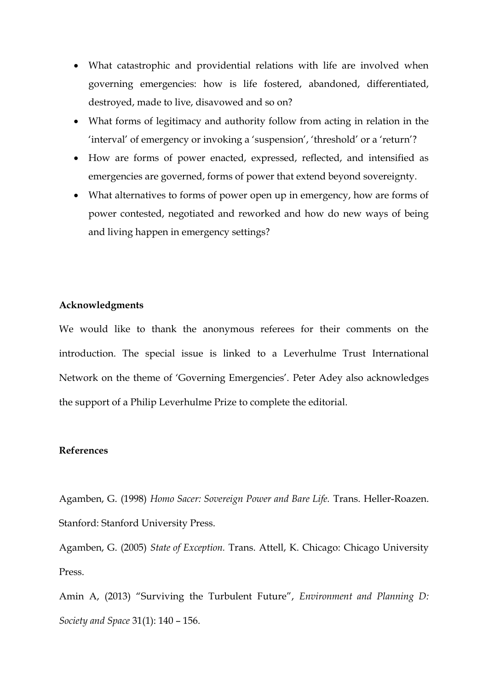- What catastrophic and providential relations with life are involved when governing emergencies: how is life fostered, abandoned, differentiated, destroyed, made to live, disavowed and so on?
- What forms of legitimacy and authority follow from acting in relation in the 'interval' of emergency or invoking a 'suspension', 'threshold' or a 'return'?
- How are forms of power enacted, expressed, reflected, and intensified as emergencies are governed, forms of power that extend beyond sovereignty.
- What alternatives to forms of power open up in emergency, how are forms of power contested, negotiated and reworked and how do new ways of being and living happen in emergency settings?

### **Acknowledgments**

We would like to thank the anonymous referees for their comments on the introduction. The special issue is linked to a Leverhulme Trust International Network on the theme of 'Governing Emergencies'. Peter Adey also acknowledges the support of a Philip Leverhulme Prize to complete the editorial.

### **References**

Agamben, G. (1998) *Homo Sacer: Sovereign Power and Bare Life.* Trans. Heller-Roazen. Stanford: Stanford University Press.

Agamben, G. (2005) *State of Exception.* Trans. Attell, K. Chicago: Chicago University Press.

Amin A, (2013) "Surviving the Turbulent Future", *Environment and Planning D: Society and Space* 31(1): 140 – 156.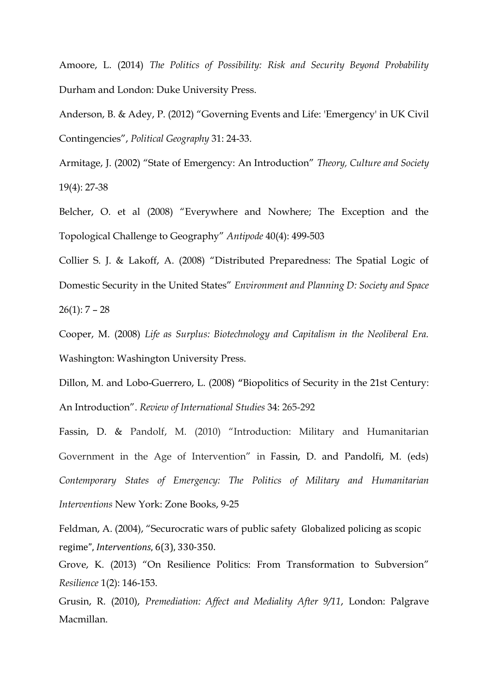Amoore, L. (2014) *The Politics of Possibility: Risk and Security Beyond Probability* Durham and London: Duke University Press.

Anderson, B. & Adey, P. (2012) "Governing Events and Life: 'Emergency' in UK Civil Contingencies", *Political Geography* 31: 24-33.

Armitage, J. (2002) "State of Emergency: An Introduction" *Theory, Culture and Society* 19(4): 27-38

Belcher, O. et al (2008) "Everywhere and Nowhere; The Exception and the Topological Challenge to Geography" *Antipode* 40(4): 499-503

Collier S. J. & Lakoff, A. (2008) "Distributed Preparedness: The Spatial Logic of Domestic Security in the United States" *Environment and Planning D: Society and Space*  $26(1): 7 - 28$ 

Cooper, M. (2008) *Life as Surplus: Biotechnology and Capitalism in the Neoliberal Era.*  Washington: Washington University Press.

Dillon, M. and Lobo-Guerrero, L. (2008) **"**[Biopolitics of Security in the 21st Century:](http://www.research.lancs.ac.uk/portal/en/publications/biopolitics-of-security-in-the-21st-century-an-introduction(cb4d6216-4623-4db5-ba1f-9508652b63c6).html)  [An Introduction](http://www.research.lancs.ac.uk/portal/en/publications/biopolitics-of-security-in-the-21st-century-an-introduction(cb4d6216-4623-4db5-ba1f-9508652b63c6).html)". *Review of International Studies* 34: 265-292

Fassin, D. & Pandolf, M. (2010) "Introduction: Military and Humanitarian Government in the Age of Intervention" in Fassin, D. and Pandolfi, M. (eds) *Contemporary States of Emergency: The Politics of Military and Humanitarian Interventions* New York: Zone Books, 9-25

Feldman, A. (2004), "Securocratic wars of public safety Globalized policing as scopic regime", *Interventions*, 6(3), 330-350.

Grove, K. (2013) "On Resilience Politics: From Transformation to Subversion" *Resilience* 1(2): 146-153.

Grusin, R. (2010), *Premediation: Affect and Mediality After 9/11*, London: Palgrave Macmillan.